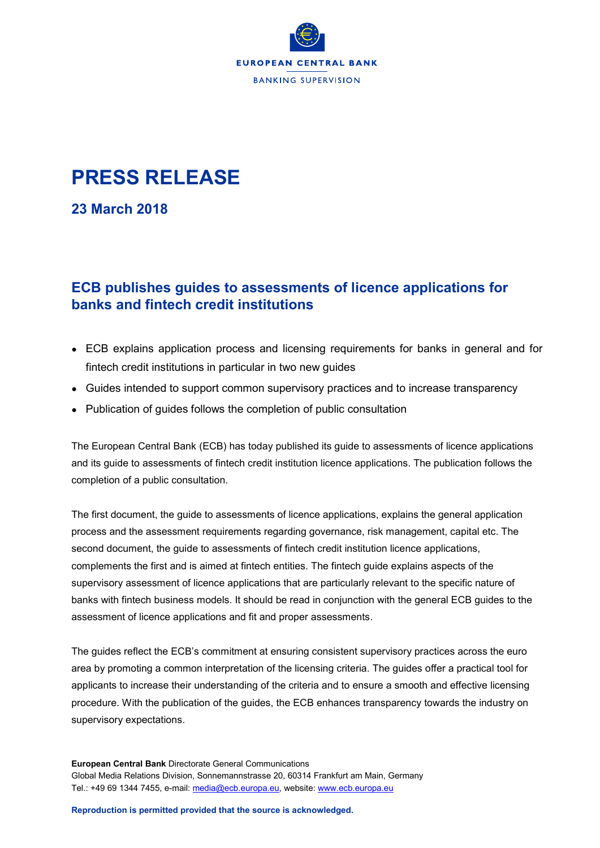

## **PRESS RELEASE**

**23 March 2018**

## **ECB publishes guides to assessments of licence applications for banks and fintech credit institutions**

- ECB explains application process and licensing requirements for banks in general and for fintech credit institutions in particular in two new guides
- Guides intended to support common supervisory practices and to increase transparency
- Publication of guides follows the completion of public consultation

The European Central Bank (ECB) has today published its guide to assessments of licence applications and its guide to assessments of fintech credit institution licence applications. The publication follows the completion of a public consultation.

The first document, the guide to assessments of licence applications, explains the general application process and the assessment requirements regarding governance, risk management, capital etc. The second document, the guide to assessments of fintech credit institution licence applications, complements the first and is aimed at fintech entities. The fintech guide explains aspects of the supervisory assessment of licence applications that are particularly relevant to the specific nature of banks with fintech business models. It should be read in conjunction with the general ECB guides to the assessment of licence applications and fit and proper assessments.

The guides reflect the ECB's commitment at ensuring consistent supervisory practices across the euro area by promoting a common interpretation of the licensing criteria. The guides offer a practical tool for applicants to increase their understanding of the criteria and to ensure a smooth and effective licensing procedure. With the publication of the guides, the ECB enhances transparency towards the industry on supervisory expectations.

**European Central Bank** Directorate General Communications Global Media Relations Division, Sonnemannstrasse 20, 60314 Frankfurt am Main, Germany Tel.: +49 69 1344 7455, e-mail: [media@ecb.europa.eu,](mailto:media@ecb.europa.eu) website[: www.ecb.europa.eu](http://www.ecb.europa.eu/)